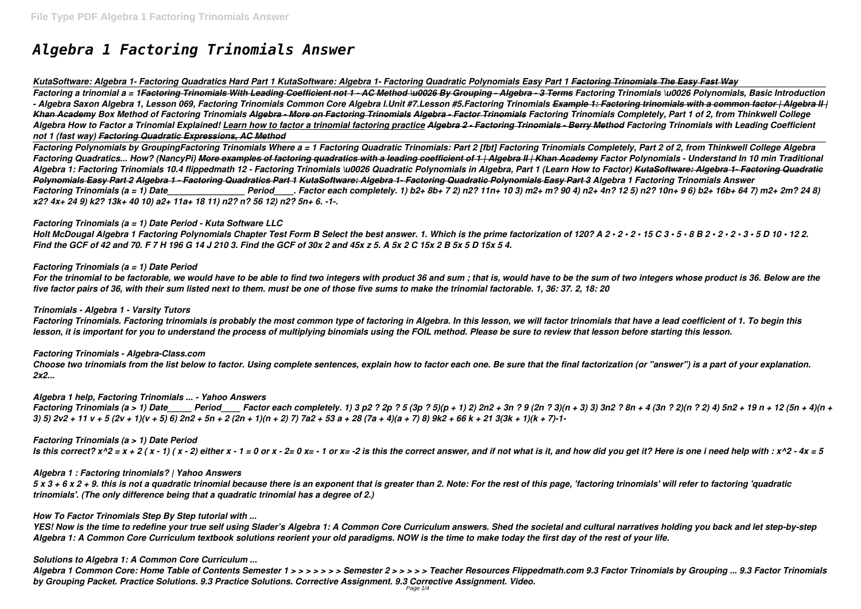# *Algebra 1 Factoring Trinomials Answer*

*KutaSoftware: Algebra 1- Factoring Quadratics Hard Part 1 KutaSoftware: Algebra 1- Factoring Quadratic Polynomials Easy Part 1 Factoring Trinomials The Easy Fast Way Factoring a trinomial a = 1Factoring Trinomials With Leading Coefficient not 1 - AC Method \u0026 By Grouping - Algebra - 3 Terms Factoring Trinomials \u0026 Polynomials, Basic Introduction - Algebra Saxon Algebra 1, Lesson 069, Factoring Trinomials Common Core Algebra I.Unit #7.Lesson #5.Factoring Trinomials Example 1: Factoring trinomials with a common factor | Algebra II | Khan Academy Box Method of Factoring Trinomials Algebra - More on Factoring Trinomials Algebra - Factor Trinomials Factoring Trinomials Completely, Part 1 of 2, from Thinkwell College Algebra How to Factor a Trinomial Explained! Learn how to factor a trinomial factoring practice Algebra 2 - Factoring Trinomials - Berry Method Factoring Trinomials with Leading Coefficient not 1 (fast way) Factoring Quadratic Expressions, AC Method*

*Factoring Polynomials by GroupingFactoring Trinomials Where a = 1 Factoring Quadratic Trinomials: Part 2 [fbt] Factoring Trinomials Completely, Part 2 of 2, from Thinkwell College Algebra Factoring Quadratics... How? (NancyPi) More examples of factoring quadratics with a leading coefficient of 1 | Algebra II | Khan Academy Factor Polynomials - Understand In 10 min Traditional Algebra 1: Factoring Trinomials 10.4 flippedmath 12 - Factoring Trinomials \u0026 Quadratic Polynomials in Algebra, Part 1 (Learn How to Factor) KutaSoftware: Algebra 1- Factoring Quadratic Polynomials Easy Part 2 Algebra 1 - Factoring Quadratics Part 1 KutaSoftware: Algebra 1- Factoring Quadratic Polynomials Easy Part 3 Algebra 1 Factoring Trinomials Answer Factoring Trinomials (a = 1) Date\_\_\_\_\_\_\_\_\_\_\_\_\_\_\_\_ Period\_\_\_\_. Factor each completely. 1) b2+ 8b+ 7 2) n2? 11n+ 10 3) m2+ m? 90 4) n2+ 4n? 12 5) n2? 10n+ 9 6) b2+ 16b+ 64 7) m2+ 2m? 24 8) x2? 4x+ 24 9) k2? 13k+ 40 10) a2+ 11a+ 18 11) n2? n? 56 12) n2? 5n+ 6. -1-.*

#### *Factoring Trinomials (a = 1) Date Period - Kuta Software LLC*

*Holt McDougal Algebra 1 Factoring Polynomials Chapter Test Form B Select the best answer. 1. Which is the prime factorization of 120? A 2 • 2 • 2 • 15 C 3 • 5 • 8 B 2 • 2 • 2 • 3 • 5 D 10 • 12 2. Find the GCF of 42 and 70. F 7 H 196 G 14 J 210 3. Find the GCF of 30x 2 and 45x z 5. A 5x 2 C 15x 2 B 5x 5 D 15x 5 4.*

# *Factoring Trinomials (a = 1) Date Period*

*For the trinomial to be factorable, we would have to be able to find two integers with product 36 and sum ; that is, would have to be the sum of two integers whose product is 36. Below are the five factor pairs of 36, with their sum listed next to them. must be one of those five sums to make the trinomial factorable. 1, 36: 37. 2, 18: 20*

#### *Trinomials - Algebra 1 - Varsity Tutors*

*Factoring Trinomials. Factoring trinomials is probably the most common type of factoring in Algebra. In this lesson, we will factor trinomials that have a lead coefficient of 1. To begin this lesson, it is important for you to understand the process of multiplying binomials using the FOIL method. Please be sure to review that lesson before starting this lesson.*

#### *Factoring Trinomials - Algebra-Class.com*

*Choose two trinomials from the list below to factor. Using complete sentences, explain how to factor each one. Be sure that the final factorization (or "answer") is a part of your explanation. 2x2...*

#### *Algebra 1 help, Factoring Trinomials ... - Yahoo Answers*

*Factoring Trinomials (a > 1) Date\_\_\_\_\_ Period\_\_\_\_ Factor each completely. 1) 3 p2 ? 2p ? 5 (3p ? 5)(p + 1) 2) 2n2 + 3n ? 9 (2n ? 3)(n + 3) 3) 3n2 ? 8n + 4 (3n ? 2)(n ? 2) 4) 5n2 + 19 n + 12 (5n + 4)(n + 3) 5) 2v2 + 11 v + 5 (2v + 1)(v + 5) 6) 2n2 + 5n + 2 (2n + 1)(n + 2) 7) 7a2 + 53 a + 28 (7a + 4)(a + 7) 8) 9k2 + 66 k + 21 3(3k + 1)(k + 7)-1-*

# *Factoring Trinomials (a > 1) Date Period*

*Is this correct?*  $x^2 = x + 2(x - 1)(x - 2)$  either  $x - 1 = 0$  or  $x - 2 = 0$   $x = -1$  or  $x = -2$  is this the correct answer, and if not what is it, and how did you get it? Here is one i need help with :  $x^2 - 4x = 5$ 

#### *Algebra 1 : Factoring trinomials? | Yahoo Answers*

*5 x 3 + 6 x 2 + 9. this is not a quadratic trinomial because there is an exponent that is greater than 2. Note: For the rest of this page, 'factoring trinomials' will refer to factoring 'quadratic trinomials'. (The only difference being that a quadratic trinomial has a degree of 2.)*

#### *How To Factor Trinomials Step By Step tutorial with ...*

*YES! Now is the time to redefine your true self using Slader's Algebra 1: A Common Core Curriculum answers. Shed the societal and cultural narratives holding you back and let step-by-step Algebra 1: A Common Core Curriculum textbook solutions reorient your old paradigms. NOW is the time to make today the first day of the rest of your life.*

# *Solutions to Algebra 1: A Common Core Curriculum ...*

*Algebra 1 Common Core: Home Table of Contents Semester 1 > > > > > > > Semester 2 > > > > > Teacher Resources Flippedmath.com 9.3 Factor Trinomials by Grouping ... 9.3 Factor Trinomials by Grouping Packet. Practice Solutions. 9.3 Practice Solutions. Corrective Assignment. 9.3 Corrective Assignment. Video.*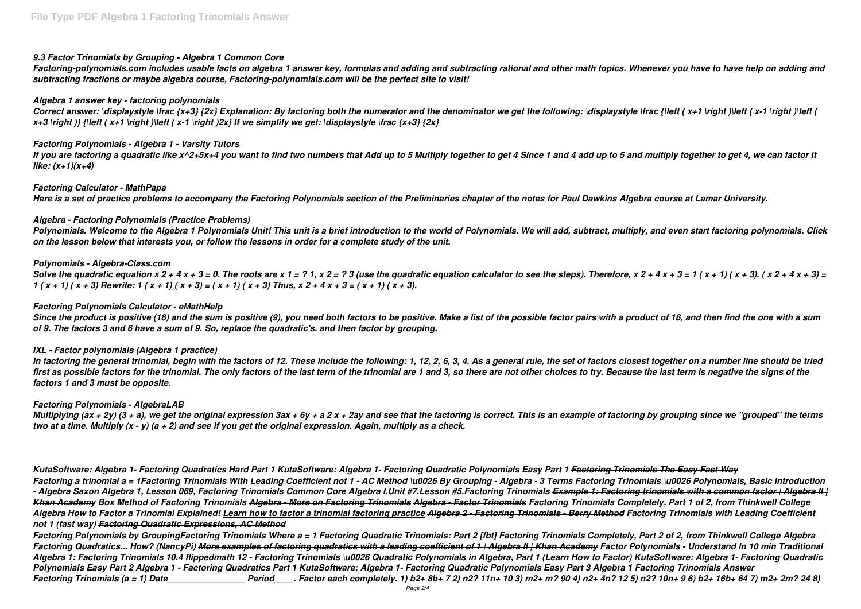# *9.3 Factor Trinomials by Grouping - Algebra 1 Common Core*

*Factoring-polynomials.com includes usable facts on algebra 1 answer key, formulas and adding and subtracting rational and other math topics. Whenever you have to have help on adding and subtracting fractions or maybe algebra course, Factoring-polynomials.com will be the perfect site to visit!*

# *Algebra 1 answer key - factoring polynomials*

Correct answer: \displaystyle \frac {x+3} {2x} Explanation: By factoring both the numerator and the denominator we get the following: \displaystyle \frac {\left ( x+1 \right )\left ( x-1 \right )\left (  $x+3$  \right )} {\left ( $x+1$  \right )\left ( $x-1$  \right )2x} If we simplify we get: \displaystyle \frac { $x+3$ } {2x}

# *Factoring Polynomials - Algebra 1 - Varsity Tutors*

*If you are factoring a quadratic like x^2+5x+4 you want to find two numbers that Add up to 5 Multiply together to get 4 Since 1 and 4 add up to 5 and multiply together to get 4, we can factor it like: (x+1)(x+4)*

*Solve the quadratic equation x 2 + 4 x + 3 = 0. The roots are x 1 = ? 1, x 2 = ? 3 (use the quadratic equation calculator to see the steps). Therefore, x 2 + 4 x + 3 = 1 ( x + 1) ( x + 3). ( x 2 + 4 x + 3) = 1 ( x + 1) ( x + 3) Rewrite: 1 ( x + 1) ( x + 3) = ( x + 1) ( x + 3) Thus, x 2 + 4 x + 3 = ( x + 1) ( x + 3).*

# *Factoring Calculator - MathPapa*

*Here is a set of practice problems to accompany the Factoring Polynomials section of the Preliminaries chapter of the notes for Paul Dawkins Algebra course at Lamar University.*

# *Algebra - Factoring Polynomials (Practice Problems)*

*Polynomials. Welcome to the Algebra 1 Polynomials Unit! This unit is a brief introduction to the world of Polynomials. We will add, subtract, multiply, and even start factoring polynomials. Click on the lesson below that interests you, or follow the lessons in order for a complete study of the unit.*

# *Polynomials - Algebra-Class.com*

# *Factoring Polynomials Calculator - eMathHelp*

*Since the product is positive (18) and the sum is positive (9), you need both factors to be positive. Make a list of the possible factor pairs with a product of 18, and then find the one with a sum of 9. The factors 3 and 6 have a sum of 9. So, replace the quadratic's. and then factor by grouping.*

# *IXL - Factor polynomials (Algebra 1 practice)*

*In factoring the general trinomial, begin with the factors of 12. These include the following: 1, 12, 2, 6, 3, 4. As a general rule, the set of factors closest together on a number line should be tried first as possible factors for the trinomial. The only factors of the last term of the trinomial are 1 and 3, so there are not other choices to try. Because the last term is negative the signs of the factors 1 and 3 must be opposite.*

# *Factoring Polynomials - AlgebraLAB*

*Multiplying (ax + 2y) (3 + a), we get the original expression 3ax + 6y + a 2 x + 2ay and see that the factoring is correct. This is an example of factoring by grouping since we "grouped" the terms two at a time. Multiply (x - y) (a + 2) and see if you get the original expression. Again, multiply as a check.*

*KutaSoftware: Algebra 1- Factoring Quadratics Hard Part 1 KutaSoftware: Algebra 1- Factoring Quadratic Polynomials Easy Part 1 Factoring Trinomials The Easy Fast Way Factoring a trinomial a = 1Factoring Trinomials With Leading Coefficient not 1 - AC Method \u0026 By Grouping - Algebra - 3 Terms Factoring Trinomials \u0026 Polynomials, Basic Introduction - Algebra Saxon Algebra 1, Lesson 069, Factoring Trinomials Common Core Algebra I.Unit #7.Lesson #5.Factoring Trinomials Example 1: Factoring trinomials with a common factor | Algebra II | Khan Academy Box Method of Factoring Trinomials Algebra - More on Factoring Trinomials Algebra - Factor Trinomials Factoring Trinomials Completely, Part 1 of 2, from Thinkwell College Algebra How to Factor a Trinomial Explained! Learn how to factor a trinomial factoring practice Algebra 2 - Factoring Trinomials - Berry Method Factoring Trinomials with Leading Coefficient not 1 (fast way) Factoring Quadratic Expressions, AC Method*

*Factoring Polynomials by GroupingFactoring Trinomials Where a = 1 Factoring Quadratic Trinomials: Part 2 [fbt] Factoring Trinomials Completely, Part 2 of 2, from Thinkwell College Algebra Factoring Quadratics... How? (NancyPi) More examples of factoring quadratics with a leading coefficient of 1 | Algebra II | Khan Academy Factor Polynomials - Understand In 10 min Traditional Algebra 1: Factoring Trinomials 10.4 flippedmath 12 - Factoring Trinomials \u0026 Quadratic Polynomials in Algebra, Part 1 (Learn How to Factor) KutaSoftware: Algebra 1- Factoring Quadratic Polynomials Easy Part 2 Algebra 1 - Factoring Quadratics Part 1 KutaSoftware: Algebra 1- Factoring Quadratic Polynomials Easy Part 3 Algebra 1 Factoring Trinomials Answer Factoring Trinomials (a = 1) Date\_\_\_\_\_\_\_\_\_\_\_\_\_\_\_\_ Period\_\_\_\_. Factor each completely. 1) b2+ 8b+ 7 2) n2? 11n+ 10 3) m2+ m? 90 4) n2+ 4n? 12 5) n2? 10n+ 9 6) b2+ 16b+ 64 7) m2+ 2m? 24 8)*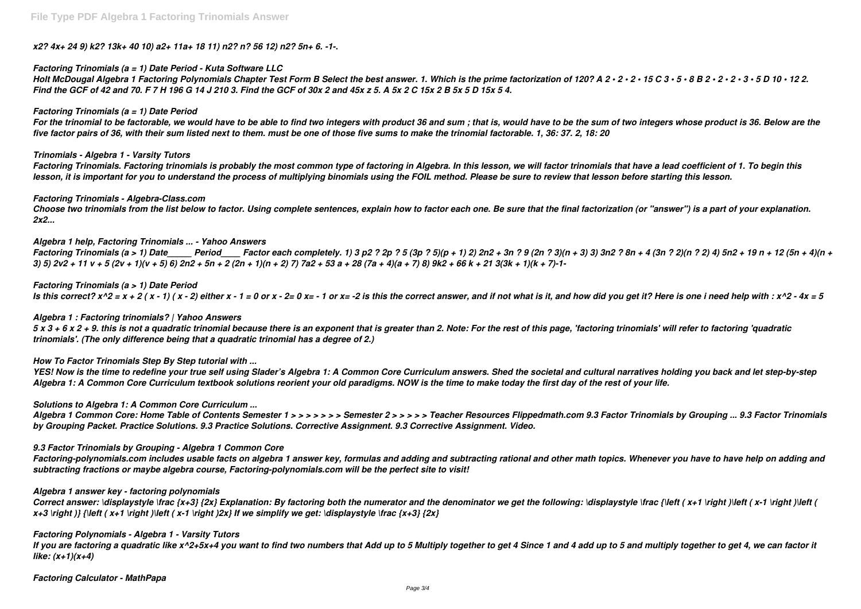*x2? 4x+ 24 9) k2? 13k+ 40 10) a2+ 11a+ 18 11) n2? n? 56 12) n2? 5n+ 6. -1-.*

#### *Factoring Trinomials (a = 1) Date Period - Kuta Software LLC*

*Holt McDougal Algebra 1 Factoring Polynomials Chapter Test Form B Select the best answer. 1. Which is the prime factorization of 120? A 2 • 2 • 2 • 15 C 3 • 5 • 8 B 2 • 2 • 2 • 3 • 5 D 10 • 12 2. Find the GCF of 42 and 70. F 7 H 196 G 14 J 210 3. Find the GCF of 30x 2 and 45x z 5. A 5x 2 C 15x 2 B 5x 5 D 15x 5 4.*

#### *Factoring Trinomials (a = 1) Date Period*

*For the trinomial to be factorable, we would have to be able to find two integers with product 36 and sum ; that is, would have to be the sum of two integers whose product is 36. Below are the five factor pairs of 36, with their sum listed next to them. must be one of those five sums to make the trinomial factorable. 1, 36: 37. 2, 18: 20*

#### *Trinomials - Algebra 1 - Varsity Tutors*

*Factoring Trinomials. Factoring trinomials is probably the most common type of factoring in Algebra. In this lesson, we will factor trinomials that have a lead coefficient of 1. To begin this lesson, it is important for you to understand the process of multiplying binomials using the FOIL method. Please be sure to review that lesson before starting this lesson.*

#### *Factoring Trinomials - Algebra-Class.com*

*Choose two trinomials from the list below to factor. Using complete sentences, explain how to factor each one. Be sure that the final factorization (or "answer") is a part of your explanation. 2x2...*

#### *Algebra 1 help, Factoring Trinomials ... - Yahoo Answers*

*Factoring Trinomials (a > 1) Date\_\_\_\_\_ Period\_\_\_\_ Factor each completely. 1) 3 p2 ? 2p ? 5 (3p ? 5)(p + 1) 2) 2n2 + 3n ? 9 (2n ? 3)(n + 3) 3) 3n2 ? 8n + 4 (3n ? 2)(n ? 2) 4) 5n2 + 19 n + 12 (5n + 4)(n + 3) 5) 2v2 + 11 v + 5 (2v + 1)(v + 5) 6) 2n2 + 5n + 2 (2n + 1)(n + 2) 7) 7a2 + 53 a + 28 (7a + 4)(a + 7) 8) 9k2 + 66 k + 21 3(3k + 1)(k + 7)-1-*

#### *Factoring Trinomials (a > 1) Date Period*

*Is this correct?*  $x^2 = x + 2(x - 1)(x - 2)$  either  $x - 1 = 0$  or  $x - 2 = 0$   $x = -1$  or  $x = -2$  is this the correct answer, and if not what is it, and how did you get it? Here is one i need help with :  $x^2 - 4x = 5$ 

#### *Algebra 1 : Factoring trinomials? | Yahoo Answers*

*5 x 3 + 6 x 2 + 9. this is not a quadratic trinomial because there is an exponent that is greater than 2. Note: For the rest of this page, 'factoring trinomials' will refer to factoring 'quadratic trinomials'. (The only difference being that a quadratic trinomial has a degree of 2.)*

#### *How To Factor Trinomials Step By Step tutorial with ...*

*YES! Now is the time to redefine your true self using Slader's Algebra 1: A Common Core Curriculum answers. Shed the societal and cultural narratives holding you back and let step-by-step Algebra 1: A Common Core Curriculum textbook solutions reorient your old paradigms. NOW is the time to make today the first day of the rest of your life.*

#### *Solutions to Algebra 1: A Common Core Curriculum ...*

*Algebra 1 Common Core: Home Table of Contents Semester 1 > > > > > > > Semester 2 > > > > > Teacher Resources Flippedmath.com 9.3 Factor Trinomials by Grouping ... 9.3 Factor Trinomials by Grouping Packet. Practice Solutions. 9.3 Practice Solutions. Corrective Assignment. 9.3 Corrective Assignment. Video.*

#### *9.3 Factor Trinomials by Grouping - Algebra 1 Common Core*

*Factoring-polynomials.com includes usable facts on algebra 1 answer key, formulas and adding and subtracting rational and other math topics. Whenever you have to have help on adding and subtracting fractions or maybe algebra course, Factoring-polynomials.com will be the perfect site to visit!*

#### *Algebra 1 answer key - factoring polynomials*

Correct answer: \displaystyle \frac {x+3} {2x} Explanation: By factoring both the numerator and the denominator we get the following: \displaystyle \frac {\left ( x+1 \right )\left ( x-1 \right )\left (  $x+3$  \right )} {\left ( $x+1$  \right )\left ( $x-1$  \right )2x} If we simplify we get: \displaystyle \frac { $x+3$ } {2x}

#### *Factoring Polynomials - Algebra 1 - Varsity Tutors*

*If you are factoring a quadratic like x^2+5x+4 you want to find two numbers that Add up to 5 Multiply together to get 4 Since 1 and 4 add up to 5 and multiply together to get 4, we can factor it like: (x+1)(x+4)*

*Factoring Calculator - MathPapa*